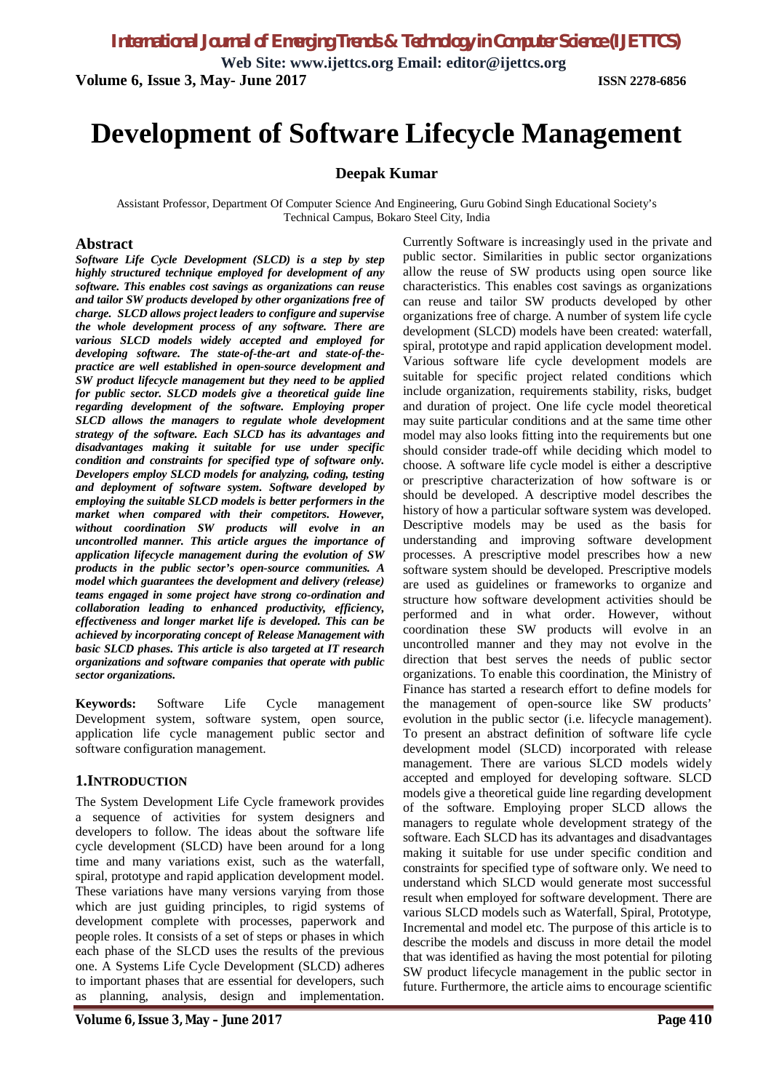**Web Site: www.ijettcs.org Email: editor@ijettcs.org Volume 6, Issue 3, May- June 2017 ISSN 2278-6856**

# **Development of Software Lifecycle Management**

#### **Deepak Kumar**

Assistant Professor, Department Of Computer Science And Engineering, Guru Gobind Singh Educational Society's Technical Campus, Bokaro Steel City, India

#### **Abstract**

*Software Life Cycle Development (SLCD) is a step by step highly structured technique employed for development of any software. This enables cost savings as organizations can reuse and tailor SW products developed by other organizations free of charge. SLCD allows project leaders to configure and supervise the whole development process of any software. There are various SLCD models widely accepted and employed for developing software. The state-of-the-art and state-of-thepractice are well established in open-source development and SW product lifecycle management but they need to be applied for public sector. SLCD models give a theoretical guide line regarding development of the software. Employing proper SLCD allows the managers to regulate whole development strategy of the software. Each SLCD has its advantages and disadvantages making it suitable for use under specific condition and constraints for specified type of software only. Developers employ SLCD models for analyzing, coding, testing and deployment of software system. Software developed by employing the suitable SLCD models is better performers in the market when compared with their competitors. However, without coordination SW products will evolve in an uncontrolled manner. This article argues the importance of application lifecycle management during the evolution of SW products in the public sector's open-source communities. A model which guarantees the development and delivery (release) teams engaged in some project have strong co-ordination and collaboration leading to enhanced productivity, efficiency, effectiveness and longer market life is developed. This can be achieved by incorporating concept of Release Management with basic SLCD phases. This article is also targeted at IT research organizations and software companies that operate with public sector organizations.*

**Keywords:** Software Life Cycle management Development system, software system, open source, application life cycle management public sector and software configuration management.

#### **1.INTRODUCTION**

The System Development Life Cycle framework provides a sequence of activities for system designers and developers to follow. The ideas about the software life cycle development (SLCD) have been around for a long time and many variations exist, such as the waterfall, spiral, prototype and rapid application development model. These variations have many versions varying from those which are just guiding principles, to rigid systems of development complete with processes, paperwork and people roles. It consists of a set of steps or phases in which each phase of the SLCD uses the results of the previous one. A Systems Life Cycle Development (SLCD) adheres to important phases that are essential for developers, such as planning, analysis, design and implementation.

Currently Software is increasingly used in the private and public sector. Similarities in public sector organizations allow the reuse of SW products using open source like characteristics. This enables cost savings as organizations can reuse and tailor SW products developed by other organizations free of charge. A number of system life cycle development (SLCD) models have been created: waterfall, spiral, prototype and rapid application development model. Various software life cycle development models are suitable for specific project related conditions which include organization, requirements stability, risks, budget and duration of project. One life cycle model theoretical may suite particular conditions and at the same time other model may also looks fitting into the requirements but one should consider trade-off while deciding which model to choose. A software life cycle model is either a descriptive or prescriptive characterization of how software is or should be developed. A descriptive model describes the history of how a particular software system was developed. Descriptive models may be used as the basis for understanding and improving software development processes. A prescriptive model prescribes how a new software system should be developed. Prescriptive models are used as guidelines or frameworks to organize and structure how software development activities should be performed and in what order. However, without coordination these SW products will evolve in an uncontrolled manner and they may not evolve in the direction that best serves the needs of public sector organizations. To enable this coordination, the Ministry of Finance has started a research effort to define models for the management of open-source like SW products' evolution in the public sector (i.e. lifecycle management). To present an abstract definition of software life cycle development model (SLCD) incorporated with release management. There are various SLCD models widely accepted and employed for developing software. SLCD models give a theoretical guide line regarding development of the software. Employing proper SLCD allows the managers to regulate whole development strategy of the software. Each SLCD has its advantages and disadvantages making it suitable for use under specific condition and constraints for specified type of software only. We need to understand which SLCD would generate most successful result when employed for software development. There are various SLCD models such as Waterfall, Spiral, Prototype, Incremental and model etc. The purpose of this article is to describe the models and discuss in more detail the model that was identified as having the most potential for piloting SW product lifecycle management in the public sector in future. Furthermore, the article aims to encourage scientific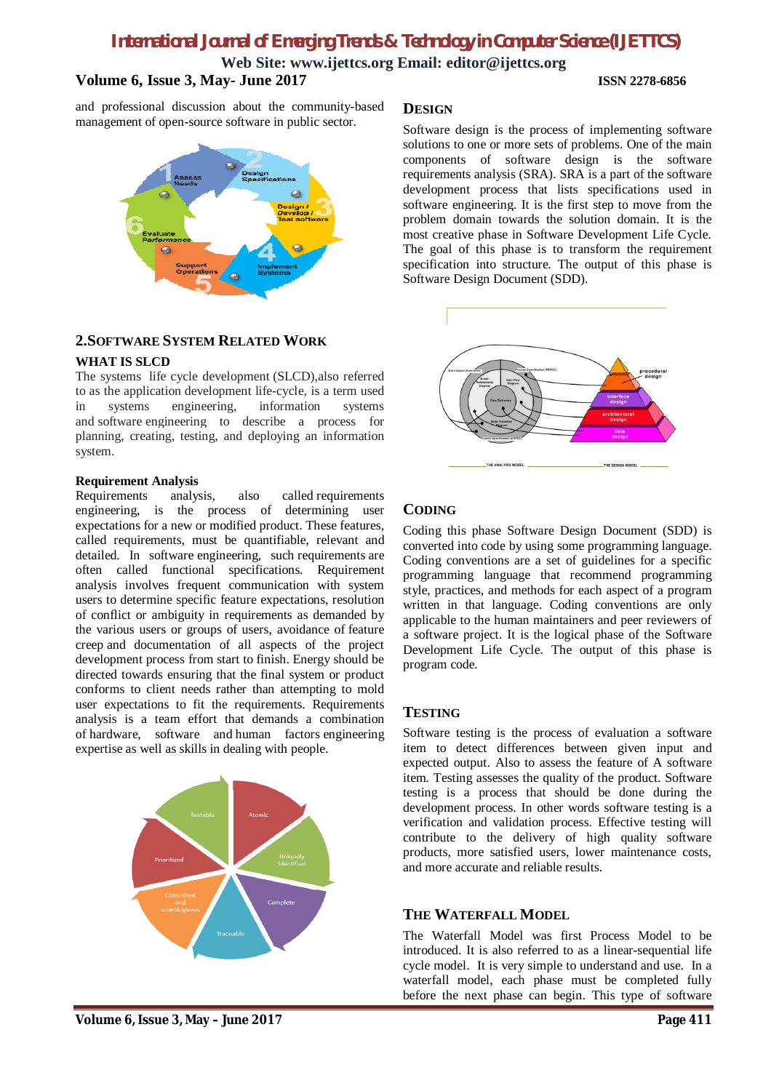**Web Site: www.ijettcs.org Email: editor@ijettcs.org Volume 6, Issue 3, May- June 2017 ISSN 2278-6856**

and professional discussion about the community-based management of open-source software in public sector.



#### **2.SOFTWARE SYSTEM RELATED WORK**

#### **WHAT IS SLCD**

The systems life cycle development (SLCD),also referred to as the application development life-cycle, is a term used in systems engineering, information systems and software engineering to describe a process for planning, creating, testing, and deploying an information system.

#### **Requirement Analysis**

Requirements analysis, also called requirements engineering, is the process of determining user expectations for a new or modified product. These features, called requirements, must be quantifiable, relevant and detailed. In software engineering, such requirements are often called functional specifications. Requirement analysis involves frequent communication with system users to determine specific feature expectations, resolution of conflict or ambiguity in requirements as demanded by the various users or groups of users, avoidance of feature creep and documentation of all aspects of the project development process from start to finish. Energy should be directed towards ensuring that the final system or product conforms to client needs rather than attempting to mold user expectations to fit the requirements. Requirements analysis is a team effort that demands a combination of hardware, software and human factors engineering expertise as well as skills in dealing with people.



#### **DESIGN**

Software design is the process of implementing software solutions to one or more sets of problems. One of the main components of software design is the software requirements analysis (SRA). SRA is a part of the software development process that lists specifications used in software engineering. It is the first step to move from the problem domain towards the solution domain. It is the most creative phase in Software Development Life Cycle. The goal of this phase is to transform the requirement specification into structure. The output of this phase is Software Design Document (SDD).



# **CODING**

Coding this phase Software Design Document (SDD) is converted into code by using some programming language. Coding conventions are a set of guidelines for a specific programming language that recommend programming style, practices, and methods for each aspect of a program written in that language. Coding conventions are only applicable to the human maintainers and peer reviewers of a software project. It is the logical phase of the Software Development Life Cycle. The output of this phase is program code.

### **TESTING**

Software testing is the process of evaluation a software item to detect differences between given input and expected output. Also to assess the feature of A software item. Testing assesses the quality of the product. Software testing is a process that should be done during the development process. In other words software testing is a verification and validation process. Effective testing will contribute to the delivery of high quality software products, more satisfied users, lower maintenance costs, and more accurate and reliable results.

#### **THE WATERFALL MODEL**

The Waterfall Model was first Process Model to be introduced. It is also referred to as a linear-sequential life cycle model. It is very simple to understand and use. In a waterfall model, each phase must be completed fully before the next phase can begin. This type of software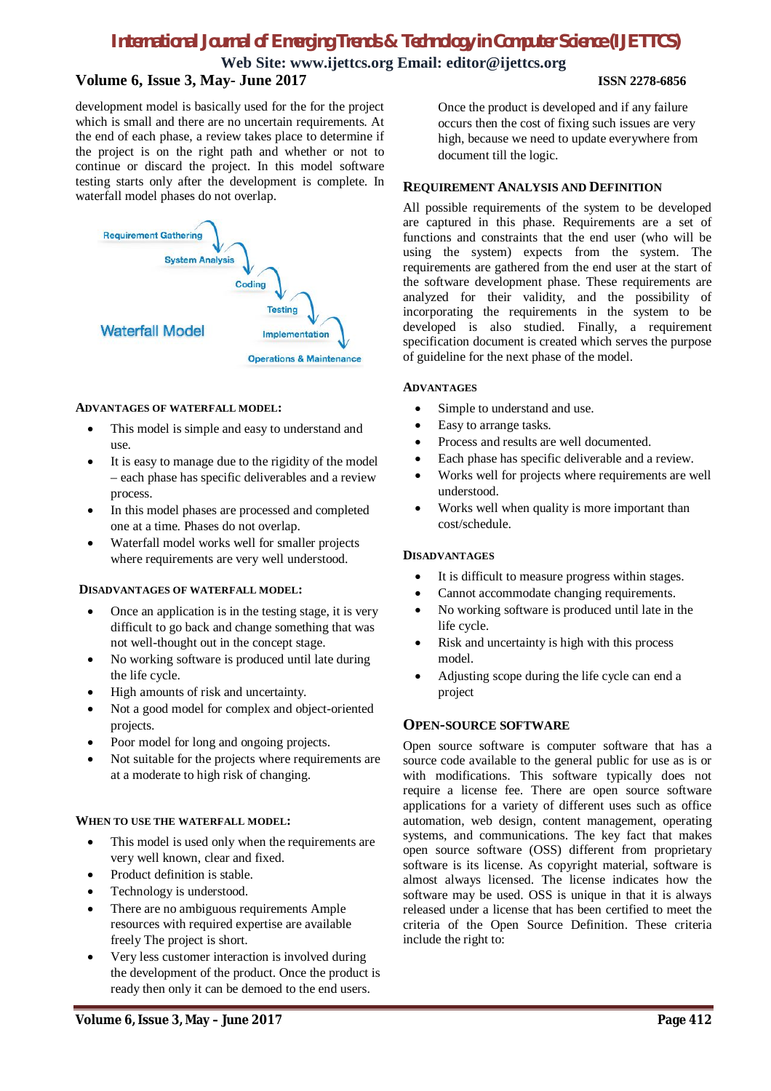#### **Web Site: www.ijettcs.org Email: editor@ijettcs.org Volume 6, Issue 3, May- June 2017 ISSN 2278-6856**

development model is basically used for the for the project which is small and there are no uncertain requirements. At the end of each phase, a review takes place to determine if the project is on the right path and whether or not to continue or discard the project. In this model software testing starts only after the development is complete. In waterfall model phases do not overlap.



#### **ADVANTAGES OF WATERFALL MODEL:**

- This model is simple and easy to understand and use.
- It is easy to manage due to the rigidity of the model – each phase has specific deliverables and a review process.
- In this model phases are processed and completed one at a time. Phases do not overlap.
- Waterfall model works well for smaller projects where requirements are very well understood.

#### **DISADVANTAGES OF WATERFALL MODEL:**

- Once an application is in the testing stage, it is very difficult to go back and change something that was not well-thought out in the concept stage.
- No working software is produced until late during the life cycle.
- High amounts of risk and uncertainty.
- Not a good model for complex and object-oriented projects.
- Poor model for long and ongoing projects.
- Not suitable for the projects where requirements are at a moderate to high risk of changing.

#### **WHEN TO USE THE WATERFALL MODEL:**

- This model is used only when the requirements are very well known, clear and fixed.
- Product definition is stable.
- Technology is understood.
- There are no ambiguous requirements Ample resources with required expertise are available freely The project is short.
- Very less customer interaction is involved during the development of the product. Once the product is ready then only it can be demoed to the end users.

Once the product is developed and if any failure occurs then the cost of fixing such issues are very high, because we need to update everywhere from document till the logic.

#### **REQUIREMENT ANALYSIS AND DEFINITION**

All possible requirements of the system to be developed are captured in this phase. Requirements are a set of functions and constraints that the end user (who will be using the system) expects from the system. The requirements are gathered from the end user at the start of the software development phase. These requirements are analyzed for their validity, and the possibility of incorporating the requirements in the system to be developed is also studied. Finally, a requirement specification document is created which serves the purpose of guideline for the next phase of the model.

#### **ADVANTAGES**

- Simple to understand and use.
- Easy to arrange tasks.
- Process and results are well documented.
- Each phase has specific deliverable and a review.
- Works well for projects where requirements are well understood.
- Works well when quality is more important than cost/schedule.

#### **DISADVANTAGES**

- It is difficult to measure progress within stages.
- Cannot accommodate changing requirements.
- No working software is produced until late in the life cycle.
- Risk and uncertainty is high with this process model.
- Adjusting scope during the life cycle can end a project

#### **OPEN-SOURCE SOFTWARE**

Open source software is computer software that has a source code available to the general public for use as is or with modifications. This software typically does not require a license fee. There are open source software applications for a variety of different uses such as office automation, web design, content management, operating systems, and communications. The key fact that makes open source software (OSS) different from proprietary software is its license. As copyright material, software is almost always licensed. The license indicates how the software may be used. OSS is unique in that it is always released under a license that has been certified to meet the criteria of the Open Source Definition. These criteria include the right to: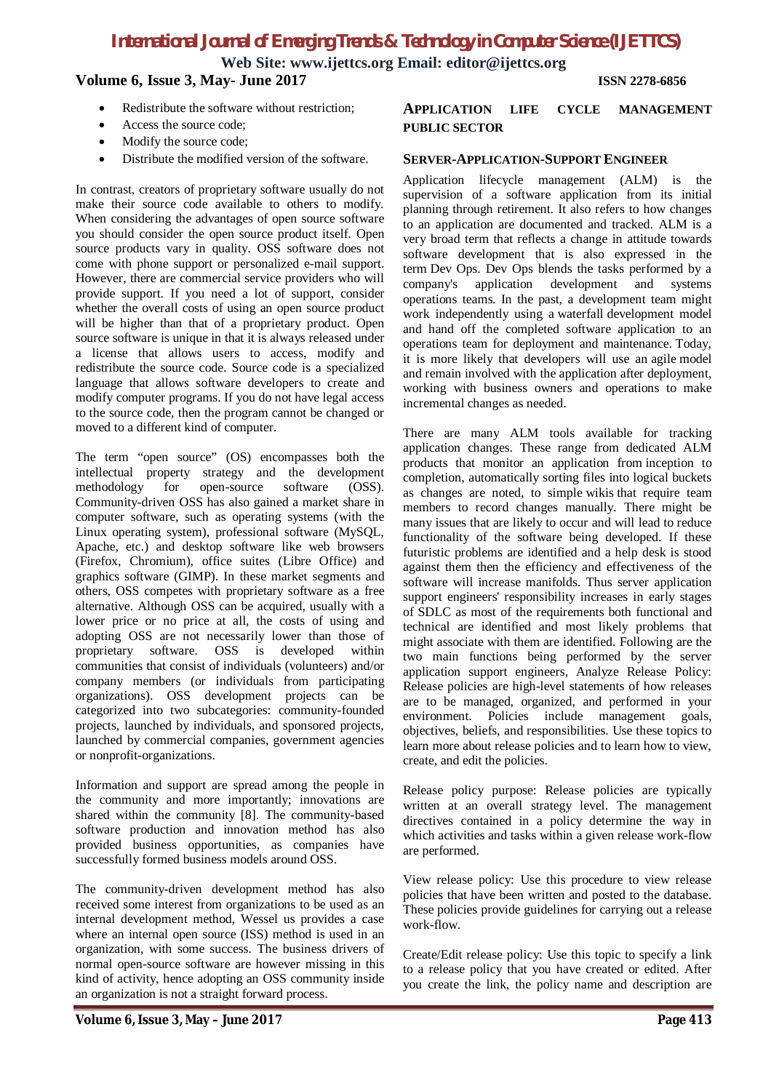**Web Site: www.ijettcs.org Email: editor@ijettcs.org**

#### **Volume 6, Issue 3, May- June 2017 ISSN 2278-6856**

- Redistribute the software without restriction;
- Access the source code;
- Modify the source code;
- Distribute the modified version of the software.

In contrast, creators of proprietary software usually do not make their source code available to others to modify. When considering the advantages of open source software you should consider the open source product itself. Open source products vary in quality. OSS software does not come with phone support or personalized e-mail support. However, there are commercial service providers who will provide support. If you need a lot of support, consider whether the overall costs of using an open source product will be higher than that of a proprietary product. Open source software is unique in that it is always released under a license that allows users to access, modify and redistribute the source code. Source code is a specialized language that allows software developers to create and modify computer programs. If you do not have legal access to the source code, then the program cannot be changed or moved to a different kind of computer.

The term "open source" (OS) encompasses both the intellectual property strategy and the development methodology for open-source software (OSS). Community-driven OSS has also gained a market share in computer software, such as operating systems (with the Linux operating system), professional software (MySQL, Apache, etc.) and desktop software like web browsers (Firefox, Chromium), office suites (Libre Office) and graphics software (GIMP). In these market segments and others, OSS competes with proprietary software as a free alternative. Although OSS can be acquired, usually with a lower price or no price at all, the costs of using and adopting OSS are not necessarily lower than those of proprietary software. OSS is developed within communities that consist of individuals (volunteers) and/or company members (or individuals from participating organizations). OSS development projects can be categorized into two subcategories: community-founded projects, launched by individuals, and sponsored projects, launched by commercial companies, government agencies or nonprofit-organizations.

Information and support are spread among the people in the community and more importantly; innovations are shared within the community [8]. The community-based software production and innovation method has also provided business opportunities, as companies have successfully formed business models around OSS.

The community-driven development method has also received some interest from organizations to be used as an internal development method, Wessel us provides a case where an internal open source (ISS) method is used in an organization, with some success. The business drivers of normal open-source software are however missing in this kind of activity, hence adopting an OSS community inside an organization is not a straight forward process.

#### **APPLICATION LIFE CYCLE MANAGEMENT PUBLIC SECTOR**

#### **SERVER-APPLICATION-SUPPORT ENGINEER**

Application lifecycle management (ALM) is the supervision of a software application from its initial planning through retirement. It also refers to how changes to an application are documented and tracked. ALM is a very broad term that reflects a change in attitude towards software development that is also expressed in the term Dev Ops. Dev Ops blends the tasks performed by a company's application development and systems operations teams. In the past, a development team might work independently using a waterfall development model and hand off the completed software application to an operations team for deployment and maintenance. Today, it is more likely that developers will use an agile model and remain involved with the application after deployment, working with business owners and operations to make incremental changes as needed.

There are many ALM tools available for tracking application changes. These range from dedicated ALM products that monitor an application from inception to completion, automatically sorting files into logical buckets as changes are noted, to simple wikis that require team members to record changes manually. There might be many issues that are likely to occur and will lead to reduce functionality of the software being developed. If these futuristic problems are identified and a help desk is stood against them then the efficiency and effectiveness of the software will increase manifolds. Thus server application support engineers' responsibility increases in early stages of SDLC as most of the requirements both functional and technical are identified and most likely problems that might associate with them are identified. Following are the two main functions being performed by the server application support engineers, Analyze Release Policy: Release policies are high-level statements of how releases are to be managed, organized, and performed in your environment. Policies include management goals, objectives, beliefs, and responsibilities. Use these topics to learn more about release policies and to learn how to view, create, and edit the policies.

Release policy purpose: Release policies are typically written at an overall strategy level. The management directives contained in a policy determine the way in which activities and tasks within a given release work-flow are performed.

View release policy: Use this procedure to view release policies that have been written and posted to the database. These policies provide guidelines for carrying out a release work-flow.

Create/Edit release policy: Use this topic to specify a link to a release policy that you have created or edited. After you create the link, the policy name and description are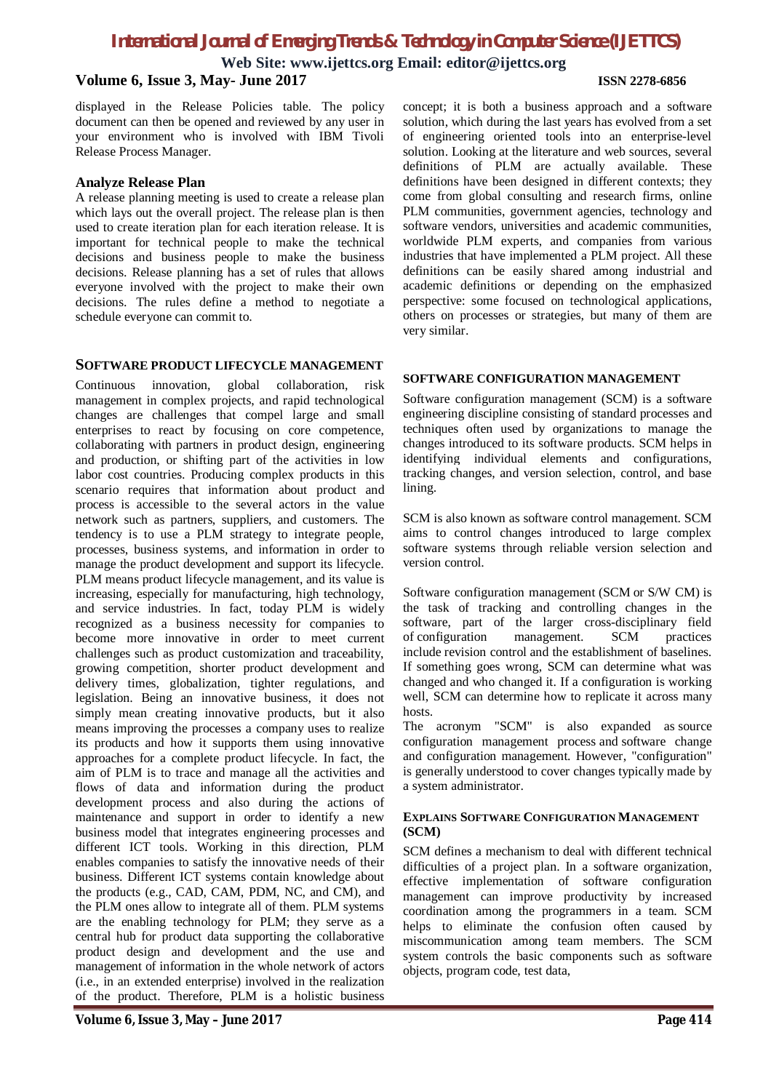**Web Site: www.ijettcs.org Email: editor@ijettcs.org**

#### **Volume 6, Issue 3, May- June 2017 ISSN 2278-6856**

displayed in the Release Policies table. The policy document can then be opened and reviewed by any user in your environment who is involved with IBM Tivoli Release Process Manager.

#### **Analyze Release Plan**

A release planning meeting is used to create a release plan which lays out the overall project. The release plan is then used to create iteration plan for each iteration release. It is important for technical people to make the technical decisions and business people to make the business decisions. Release planning has a set of rules that allows everyone involved with the project to make their own decisions. The rules define a method to negotiate a schedule everyone can commit to.

#### **SOFTWARE PRODUCT LIFECYCLE MANAGEMENT**

Continuous innovation, global collaboration, risk management in complex projects, and rapid technological changes are challenges that compel large and small enterprises to react by focusing on core competence, collaborating with partners in product design, engineering and production, or shifting part of the activities in low labor cost countries. Producing complex products in this scenario requires that information about product and process is accessible to the several actors in the value network such as partners, suppliers, and customers. The tendency is to use a PLM strategy to integrate people, processes, business systems, and information in order to manage the product development and support its lifecycle. PLM means product lifecycle management, and its value is increasing, especially for manufacturing, high technology, and service industries. In fact, today PLM is widely recognized as a business necessity for companies to become more innovative in order to meet current challenges such as product customization and traceability, growing competition, shorter product development and delivery times, globalization, tighter regulations, and legislation. Being an innovative business, it does not simply mean creating innovative products, but it also means improving the processes a company uses to realize its products and how it supports them using innovative approaches for a complete product lifecycle. In fact, the aim of PLM is to trace and manage all the activities and flows of data and information during the product development process and also during the actions of maintenance and support in order to identify a new business model that integrates engineering processes and different ICT tools. Working in this direction, PLM enables companies to satisfy the innovative needs of their business. Different ICT systems contain knowledge about the products (e.g., CAD, CAM, PDM, NC, and CM), and the PLM ones allow to integrate all of them. PLM systems are the enabling technology for PLM; they serve as a central hub for product data supporting the collaborative product design and development and the use and management of information in the whole network of actors (i.e., in an extended enterprise) involved in the realization of the product. Therefore, PLM is a holistic business

concept; it is both a business approach and a software solution, which during the last years has evolved from a set of engineering oriented tools into an enterprise-level solution. Looking at the literature and web sources, several definitions of PLM are actually available. These definitions have been designed in different contexts; they come from global consulting and research firms, online PLM communities, government agencies, technology and software vendors, universities and academic communities, worldwide PLM experts, and companies from various industries that have implemented a PLM project. All these definitions can be easily shared among industrial and academic definitions or depending on the emphasized perspective: some focused on technological applications, others on processes or strategies, but many of them are very similar.

#### **SOFTWARE CONFIGURATION MANAGEMENT**

Software configuration management (SCM) is a software engineering discipline consisting of standard processes and techniques often used by organizations to manage the changes introduced to its software products. SCM helps in identifying individual elements and configurations, tracking changes, and version selection, control, and base lining.

SCM is also known as software control management. SCM aims to control changes introduced to large complex software systems through reliable version selection and version control.

Software configuration management (SCM or S/W CM) is the task of tracking and controlling changes in the software, part of the larger cross-disciplinary field<br>of configuration management. SCM practices of configuration management. SCM include revision control and the establishment of baselines. If something goes wrong, SCM can determine what was changed and who changed it. If a configuration is working well, SCM can determine how to replicate it across many hosts.

The acronym "SCM" is also expanded as source configuration management process and software change and configuration management. However, "configuration" is generally understood to cover changes typically made by a system administrator.

#### **EXPLAINS SOFTWARE CONFIGURATION MANAGEMENT (SCM)**

SCM defines a mechanism to deal with different technical difficulties of a project plan. In a software organization, effective implementation of software configuration management can improve productivity by increased coordination among the programmers in a team. SCM helps to eliminate the confusion often caused by miscommunication among team members. The SCM system controls the basic components such as software objects, program code, test data,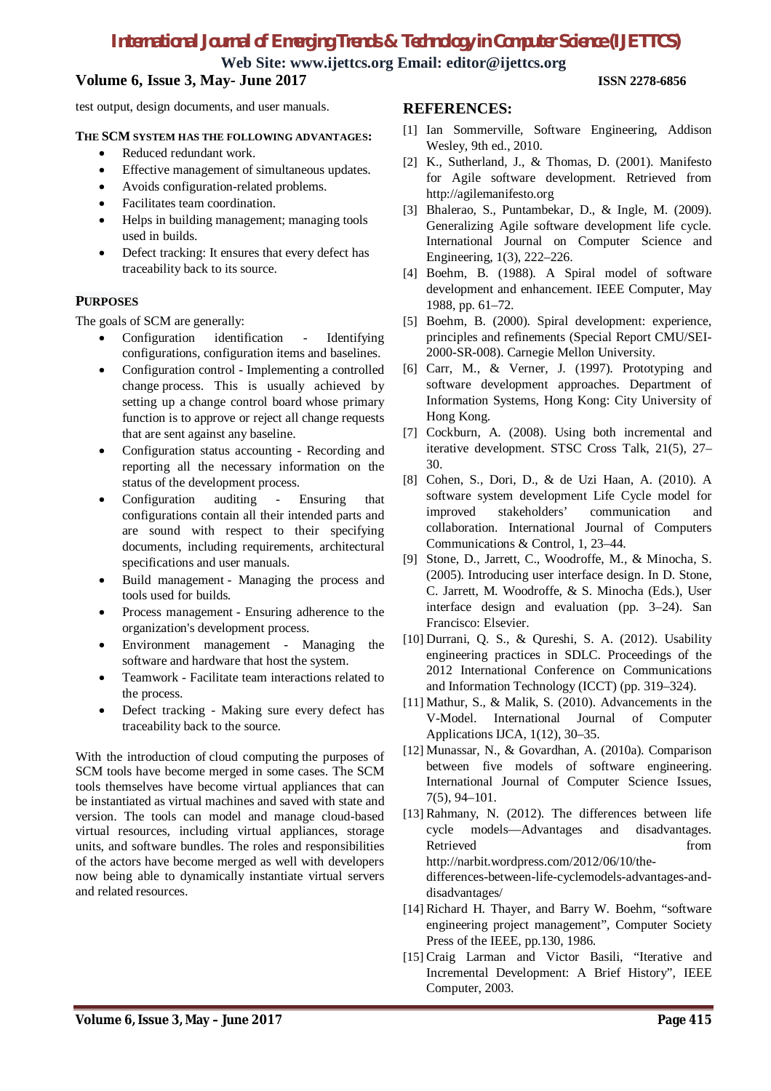**Web Site: www.ijettcs.org Email: editor@ijettcs.org**

## **Volume 6, Issue 3, May- June 2017 ISSN 2278-6856**

test output, design documents, and user manuals.

#### **THE SCM SYSTEM HAS THE FOLLOWING ADVANTAGES:**

- Reduced redundant work.
- Effective management of simultaneous updates.
- Avoids configuration-related problems.
- Facilitates team coordination.
- Helps in building management; managing tools used in builds.
- Defect tracking: It ensures that every defect has traceability back to its source.

#### **PURPOSES**

The goals of SCM are generally:

- Configuration identification Identifying configurations, configuration items and baselines.
- Configuration control Implementing a controlled change process. This is usually achieved by setting up a change control board whose primary function is to approve or reject all change requests that are sent against any baseline.
- Configuration status accounting Recording and reporting all the necessary information on the status of the development process.
- Configuration auditing Ensuring that configurations contain all their intended parts and are sound with respect to their specifying documents, including requirements, architectural specifications and user manuals.
- Build management Managing the process and tools used for builds.
- Process management Ensuring adherence to the organization's development process.
- Environment management Managing the software and hardware that host the system.
- Teamwork Facilitate team interactions related to the process.
- Defect tracking Making sure every defect has traceability back to the source.

With the introduction of cloud computing the purposes of SCM tools have become merged in some cases. The SCM tools themselves have become virtual appliances that can be instantiated as virtual machines and saved with state and version. The tools can model and manage cloud-based virtual resources, including virtual appliances, storage units, and software bundles. The roles and responsibilities of the actors have become merged as well with developers now being able to dynamically instantiate virtual servers and related resources.

#### **REFERENCES:**

- [1] Ian Sommerville, Software Engineering, Addison Wesley, 9th ed., 2010.
- [2] K., Sutherland, J., & Thomas, D. (2001). Manifesto for Agile software development. Retrieved from http://agilemanifesto.org
- [3] Bhalerao, S., Puntambekar, D., & Ingle, M. (2009). Generalizing Agile software development life cycle. International Journal on Computer Science and Engineering, 1(3), 222–226.
- [4] Boehm, B. (1988). A Spiral model of software development and enhancement. IEEE Computer, May 1988, pp. 61–72.
- [5] Boehm, B. (2000). Spiral development: experience, principles and refinements (Special Report CMU/SEI-2000-SR-008). Carnegie Mellon University.
- [6] Carr, M., & Verner, J. (1997). Prototyping and software development approaches. Department of Information Systems, Hong Kong: City University of Hong Kong.
- [7] Cockburn, A. (2008). Using both incremental and iterative development. STSC Cross Talk, 21(5), 27– 30.
- [8] Cohen, S., Dori, D., & de Uzi Haan, A. (2010). A software system development Life Cycle model for improved stakeholders' communication and collaboration. International Journal of Computers Communications & Control, 1, 23–44.
- [9] Stone, D., Jarrett, C., Woodroffe, M., & Minocha, S. (2005). Introducing user interface design. In D. Stone, C. Jarrett, M. Woodroffe, & S. Minocha (Eds.), User interface design and evaluation (pp. 3–24). San Francisco: Elsevier.
- [10] Durrani, Q. S., & Qureshi, S. A. (2012). Usability engineering practices in SDLC. Proceedings of the 2012 International Conference on Communications and Information Technology (ICCT) (pp. 319–324).
- [11] Mathur, S., & Malik, S. (2010). Advancements in the V-Model. International Journal of Computer Applications IJCA, 1(12), 30–35.
- [12] Munassar, N., & Govardhan, A. (2010a). Comparison between five models of software engineering. International Journal of Computer Science Issues, 7(5), 94–101.
- [13] Rahmany, N. (2012). The differences between life cycle models—Advantages and disadvantages. Retrieved from the state of the state of the state of the state of the state of the state of the state of the state of the state of the state of the state of the state of the state of the state of the state of the state of http://narbit.wordpress.com/2012/06/10/thedifferences-between-life-cyclemodels-advantages-anddisadvantages/
- [14] Richard H. Thayer, and Barry W. Boehm, "software engineering project management", Computer Society Press of the IEEE, pp.130, 1986.
- [15] Craig Larman and Victor Basili, "Iterative and Incremental Development: A Brief History", IEEE Computer, 2003.